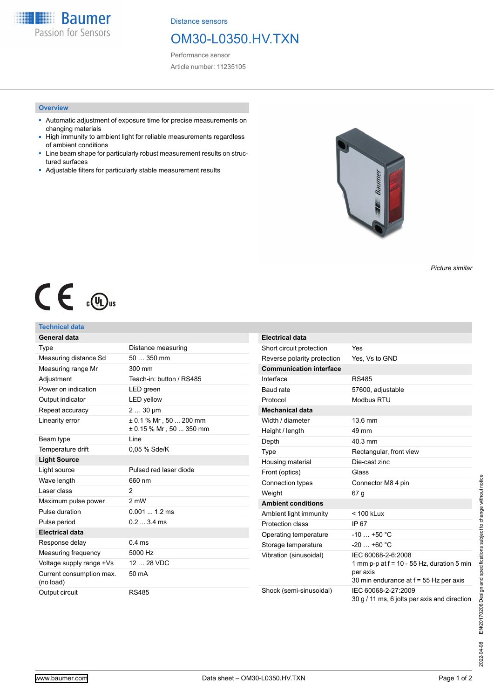**Baumer** Passion for Sensors

Distance sensors

# OM30-L0350.HV.TXN

Performance sensor Article number: 11235105

## **Overview**

- Automatic adjustment of exposure time for precise measurements on changing materials
- High immunity to ambient light for reliable measurements regardless of ambient conditions
- Line beam shape for particularly robust measurement results on structured surfaces
- Adjustable filters for particularly stable measurement results



*Picture similar*

# $C \in \mathbb{C}$

## **Technical data**

| General data                          |                                                           | Е      |
|---------------------------------------|-----------------------------------------------------------|--------|
| Type                                  | Distance measuring                                        | S      |
| Measuring distance Sd                 | $50350$ mm                                                | R      |
| Measuring range Mr                    | 300 mm                                                    | C      |
| Adjustment                            | Teach-in: button / RS485                                  | In     |
| Power on indication                   | LED green                                                 | B      |
| Output indicator                      | <b>LED</b> yellow                                         | P      |
| Repeat accuracy                       | $230 \,\mu m$                                             | M      |
| Linearity error                       | $\pm$ 0.1 % Mr, 50  200 mm<br>$\pm$ 0.15 % Mr, 50  350 mm | W<br>н |
| Beam type                             | Line                                                      | D      |
| Temperature drift                     | 0.05 % Sde/K                                              | T)     |
| <b>Light Source</b>                   |                                                           | Н      |
| Light source                          | Pulsed red laser diode                                    | Eı     |
| Wave length                           | 660 nm                                                    | C      |
| Laser class                           | 2                                                         | W      |
| Maximum pulse power                   | 2 mW                                                      | A      |
| Pulse duration                        | $0.0011.2 \text{ ms}$                                     | A      |
| Pulse period                          | $0.23.4 \text{ ms}$                                       | P      |
| <b>Electrical data</b>                |                                                           | O      |
| Response delay                        | $0.4$ ms                                                  | S      |
| Measuring frequency                   | 5000 Hz                                                   | V      |
| Voltage supply range +Vs              | 12  28 VDC                                                |        |
| Current consumption max.<br>(no load) | 50 mA                                                     |        |
| Output circuit                        | <b>RS485</b>                                              | S      |

| <b>Electrical data</b>         |                                                                                                                          |
|--------------------------------|--------------------------------------------------------------------------------------------------------------------------|
| Short circuit protection       | Yes                                                                                                                      |
| Reverse polarity protection    | Yes, Vs to GND                                                                                                           |
| <b>Communication interface</b> |                                                                                                                          |
| Interface                      | <b>RS485</b>                                                                                                             |
| Baud rate                      | 57600, adjustable                                                                                                        |
| Protocol                       | Modbus RTU                                                                                                               |
| <b>Mechanical data</b>         |                                                                                                                          |
| Width / diameter               | 13.6 mm                                                                                                                  |
| Height / length                | 49 mm                                                                                                                    |
| Depth                          | 40.3 mm                                                                                                                  |
| Type                           | Rectangular, front view                                                                                                  |
| Housing material               | Die-cast zinc                                                                                                            |
| Front (optics)                 | Glass                                                                                                                    |
| Connection types               | Connector M8 4 pin                                                                                                       |
| Weight                         | 67 q                                                                                                                     |
| <b>Ambient conditions</b>      |                                                                                                                          |
| Ambient light immunity         | $< 100$ kLux                                                                                                             |
| Protection class               | IP 67                                                                                                                    |
| Operating temperature          | $-10+50$ °C                                                                                                              |
| Storage temperature            | $-20+60$ °C                                                                                                              |
| Vibration (sinusoidal)         | IEC 60068-2-6:2008<br>1 mm p-p at $f = 10 - 55$ Hz, duration 5 min<br>per axis<br>30 min endurance at f = 55 Hz per axis |
| Shock (semi-sinusoidal)        | IEC 60068-2-27:2009<br>30 g / 11 ms, 6 jolts per axis and direction                                                      |